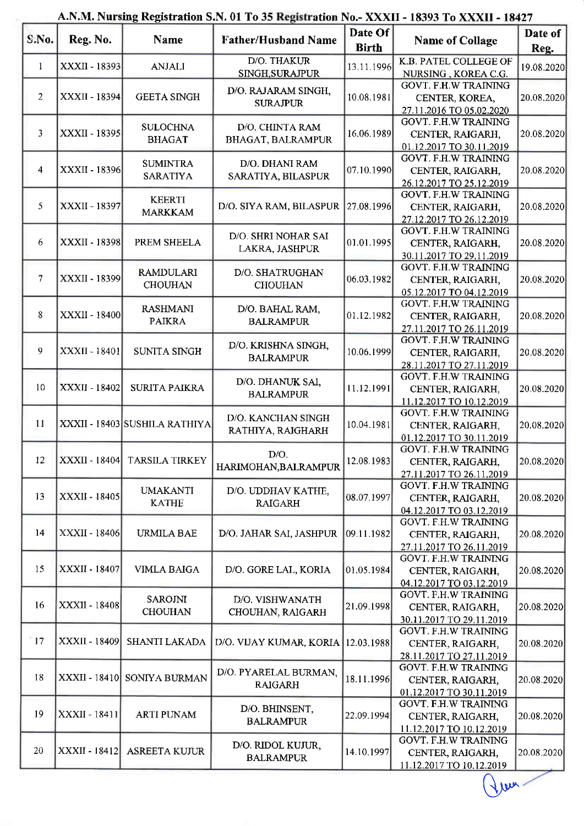| S.No.           | Reg. No.      | Name                               | <b>Father/Husband Name</b>                  | Date Of<br><b>Birth</b> | <b>Name of Collage</b>                                                      | Date of<br>Reg. |
|-----------------|---------------|------------------------------------|---------------------------------------------|-------------------------|-----------------------------------------------------------------------------|-----------------|
| 1               | XXXII - 18393 | <b>ANJALI</b>                      | D/O. THAKUR<br>SINGH, SURAJPUR              | 13.11.1996              | K.B. PATEL COLLEGE OF<br>NURSING, KOREA C.G.                                | 19.08.2020      |
| 2               | XXXII - 18394 | <b>GEETA SINGH</b>                 | D/O. RAJARAM SINGH,<br><b>SURAJPUR</b>      | 10.08.1981              | <b>GOVT. F.H.W TRAINING</b><br>CENTER, KOREA,<br>27.11.2016 TO 05.02.2020   | 20.08.2020      |
| $\overline{3}$  | XXXII - 18395 | <b>SULOCHNA</b><br><b>BHAGAT</b>   | D/O. CHINTA RAM<br><b>BHAGAT, BALRAMPUR</b> | 16.06.1989              | <b>GOVT. F.H.W TRAINING</b><br>CENTER, RAIGARH,<br>01.12.2017 TO 30.11.2019 | 20.08.2020      |
| $\overline{4}$  | XXXII - 18396 | <b>SUMINTRA</b><br><b>SARATIYA</b> | D/O. DHANI RAM<br>SARATIYA, BILASPUR        | 07.10.1990              | <b>GOVT. F.H.W TRAINING</b><br>CENTER, RAIGARH,<br>26.12.2017 TO 25.12.2019 | 20.08.2020      |
| 5               | XXXII - 18397 | <b>KEERTI</b><br><b>MARKKAM</b>    | D/O. SIYA RAM, BILASPUR                     | 27.08.1996              | <b>GOVT. F.H.W TRAINING</b><br>CENTER, RAIGARH,<br>27.12.2017 TO 26.12.2019 | 20.08.2020      |
| 6               | XXXII - 18398 | PREM SHEELA                        | D/O. SHRI NOHAR SAI<br>LAKRA, JASHPUR       | 01.01.1995              | <b>GOVT. F.H.W TRAINING</b><br>CENTER, RAIGARH,<br>30.11.2017 TO 29.11.2019 | 20.08.2020      |
| $7\overline{ }$ | XXXII - 18399 | <b>RAMDULARI</b><br><b>CHOUHAN</b> | D/O. SHATRUGHAN<br><b>CHOUHAN</b>           | 06.03.1982              | <b>GOVT. F.H.W TRAINING</b><br>CENTER, RAIGARH,<br>05.12.2017 TO 04.12.2019 | 20.08.2020      |
| 8               | XXXII - 18400 | <b>RASHMANI</b><br><b>PAIKRA</b>   | D/O. BAHAL RAM,<br><b>BALRAMPUR</b>         | 01.12.1982              | <b>GOVT. F.H.W TRAINING</b><br>CENTER, RAIGARH,<br>27.11.2017 TO 26.11.2019 | 20.08.2020      |
| 9               | XXXII - 18401 | <b>SUNITA SINGH</b>                | D/O. KRISHNA SINGH,<br><b>BALRAMPUR</b>     | 10.06.1999              | <b>GOVT. F.H.W TRAINING</b><br>CENTER, RAIGARH,<br>28.11.2017 TO 27.11.2019 | 20.08.2020      |
| 10              | XXXII - 18402 | <b>SURITA PAIKRA</b>               | D/O. DHANUK SAI,<br><b>BALRAMPUR</b>        | 11.12.1991              | <b>GOVT. F.H.W TRAINING</b><br>CENTER, RAIGARH,<br>11.12.2017 TO 10.12.2019 | 20.08.2020      |
| 11              |               | XXXII - 18403 SUSHILA RATHIYA      | D/O. KANCHAN SINGH<br>RATHIYA, RAIGHARH     | 10.04.1981              | <b>GOVT. F.H.W TRAINING</b><br>CENTER, RAIGARH,<br>01.12.2017 TO 30.11.2019 | 20.08.2020      |
| 12              |               | XXXII - 18404 TARSILA TIRKEY       | D/O.<br>HARIMOHAN, BALRAMPUR                | 12.08.1983              | <b>GOVT. F.H.W TRAINING</b><br>CENTER, RAIGARH,<br>27.11.2017 TO 26.11.2019 | 20.08.2020      |
| 13              | XXXII - 18405 | <b>UMAKANTI</b><br><b>KATHE</b>    | D/O. UDDHAV KATHE,<br><b>RAIGARH</b>        | 08.07.1997              | <b>GOVT. F.H.W TRAINING</b><br>CENTER, RAIGARH,<br>04.12.2017 TO 03.12.2019 | 20.08.2020      |
| 14              | XXXII - 18406 | <b>URMILA BAE</b>                  | D/O. JAHAR SAI, JASHPUR                     | 09.11.1982              | <b>GOVT. F.H.W TRAINING</b><br>CENTER, RAIGARH,<br>27.11.2017 TO 26.11.2019 | 20.08.2020      |
| 15              | XXXII - 18407 | <b>VIMLA BAIGA</b>                 | D/O. GORE LAL, KORIA                        | 01.05.1984              | <b>GOVT. F.H.W TRAINING</b><br>CENTER, RAIGARH,<br>04.12.2017 TO 03.12.2019 | 20.08.2020      |
| 16              | XXXII - 18408 | <b>SAROJNI</b><br><b>CHOUHAN</b>   | D/O. VISHWANATH<br>CHOUHAN, RAIGARH         | 21.09.1998              | <b>GOVT. F.H.W TRAINING</b><br>CENTER, RAIGARH,<br>30.11.2017 TO 29.11.2019 | 20.08.2020      |
| 17              | XXXII - 18409 | SHANTI LAKADA                      | D/O. VIJAY KUMAR, KORIA                     | 12.03.1988              | <b>GOVT. F.H.W TRAINING</b><br>CENTER, RAIGARH,<br>28.11.2017 TO 27.11.2019 | 20.08.2020      |
| 18              | XXXII - 18410 | SONIYA BURMAN                      | D/O. PYARELAL BURMAN,<br><b>RAIGARH</b>     | 18.11.1996              | <b>GOVT. F.H.W TRAINING</b><br>CENTER, RAIGARH,<br>01.12.2017 TO 30.11.2019 | 20.08.2020      |
| 19              | XXXII - 18411 | <b>ARTI PUNAM</b>                  | D/O. BHINSENT,<br><b>BALRAMPUR</b>          | 22.09.1994              | <b>GOVT. F.H.W TRAINING</b><br>CENTER, RAIGARH,<br>11.12.2017 TO 10.12.2019 | 20.08.2020      |
| 20              | XXXII - 18412 | <b>ASREETA KUJUR</b>               | D/O. RIDOL KUJUR,<br><b>BALRAMPUR</b>       | 14.10.1997              | <b>GOVT. F.H.W TRAINING</b><br>CENTER, RAIGARH,<br>11.12.2017 TO 10.12.2019 | 20.08.2020      |

## A.N.M. Nursing Registration S.N. 01 To 35 Registration No.- XXXII - 18393 To XXXII - 18427

 $\bigcirc$